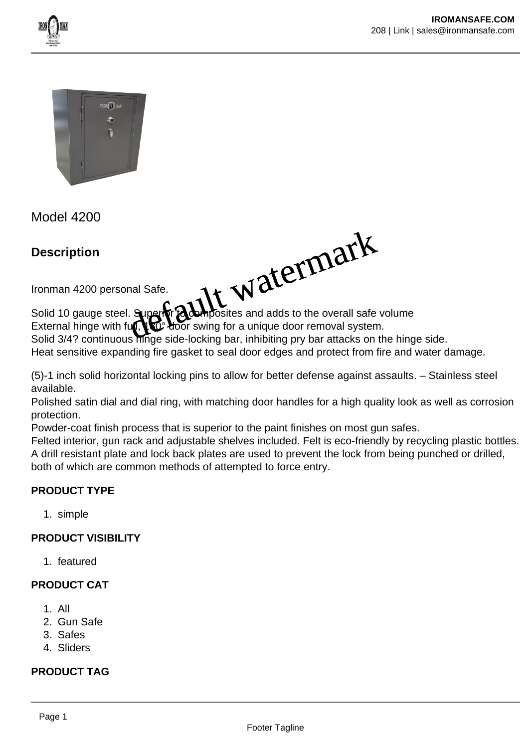



Model 4200

**Description**

de watermark

Ironman 4200 personal Safe.

Solid 10 gauge steel. Superior Composites and adds to the overall safe volume<br>External hinge with full, New door swing for a unique door removal system. to door swing for a unique door removal system.

Solid 3/4? continuous hinge side-locking bar, inhibiting pry bar attacks on the hinge side.

Heat sensitive expanding fire gasket to seal door edges and protect from fire and water damage.

(5)-1 inch solid horizontal locking pins to allow for better defense against assaults. – Stainless steel available.

Polished satin dial and dial ring, with matching door handles for a high quality look as well as corrosion protection.

Powder-coat finish process that is superior to the paint finishes on most gun safes.

Felted interior, gun rack and adjustable shelves included. Felt is eco-friendly by recycling plastic bottles. A drill resistant plate and lock back plates are used to prevent the lock from being punched or drilled, both of which are common methods of attempted to force entry.

# **PRODUCT TYPE**

1. simple

### **PRODUCT VISIBILITY**

1. featured

# **PRODUCT CAT**

- 1. All
- 2. Gun Safe
- 3. Safes
- 4. Sliders

# **PRODUCT TAG**